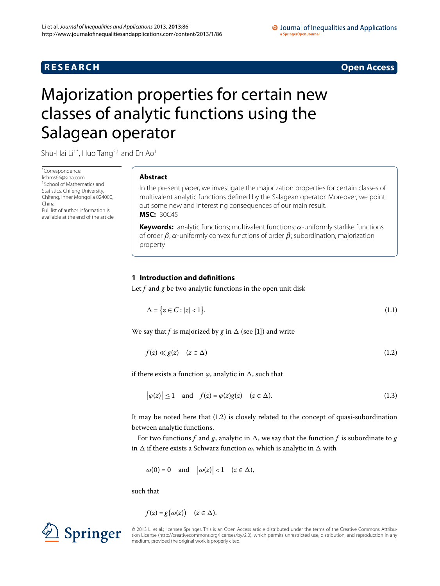# **R E S E A R C H Open Access**

### O Journal of Inequalities and Applications a SpringerOpen Journal

# <span id="page-0-0"></span>Majorization properties for certain new classes of analytic functions using the Salagean operator

Shu-Hai Li<sup>[1](#page-6-0)[\\*](#page-0-0)</sup>, Huo Tang<sup>2,1</sup> and En Ao<sup>1</sup>

\* Correspondence: [lishms66@sina.com](mailto:lishms66@sina.com) 1School of Mathematics and Statistics, Chifeng University, Chifeng, Inner Mongolia 024000, China Full list of author information is available at the end of the article

## **Abstract**

In the present paper, we investigate the majorization properties for certain classes of multivalent analytic functions defined by the Salagean operator. Moreover, we point out some new and interesting consequences of our main result. **MSC:** 30C45

**Keywords:** analytic functions; multivalent functions; *α*-uniformly starlike functions of order *β*; *α*-uniformly convex functions of order *β*; subordination; majorization property

## **1 Introduction and definitions**

Let *f* and *g* be two analytic functions in the open unit disk

<span id="page-0-2"></span><span id="page-0-1"></span>
$$
\Delta = \{z \in C : |z| < 1\}.\tag{1.1}
$$

We say that *f* is majorized by *g* in  $\Delta$  (see [1[\]](#page-6-2)) and write

$$
f(z) \ll g(z) \quad (z \in \Delta) \tag{1.2}
$$

if there exists a function  $\varphi$ , analytic in  $\Delta$ , such that

$$
\left|\varphi(z)\right| \le 1 \quad \text{and} \quad f(z) = \varphi(z)g(z) \quad (z \in \Delta). \tag{1.3}
$$

It may be noted here that  $(1.2)$  $(1.2)$  $(1.2)$  is closely related to the concept of quasi-subordination between analytic functions.

For two functions *f* and *g*, analytic in  $\Delta$ , we say that the function *f* is subordinate to *g* in  $\Delta$  if there exists a Schwarz function  $\omega$ , which is analytic in  $\Delta$  with

$$
\omega(0) = 0
$$
 and  $|\omega(z)| < 1$   $(z \in \Delta)$ ,

such that

$$
f(z) = g(\omega(z)) \quad (z \in \Delta).
$$

© 2013 Li et al.; licensee Springer. This is an Open Access article distributed under the terms of the Creative Commons Attribution License ([http://creativecommons.org/licenses/by/2.0\)](http://creativecommons.org/licenses/by/2.0), which permits unrestricted use, distribution, and reproduction in any medium, provided the original work is properly cited.

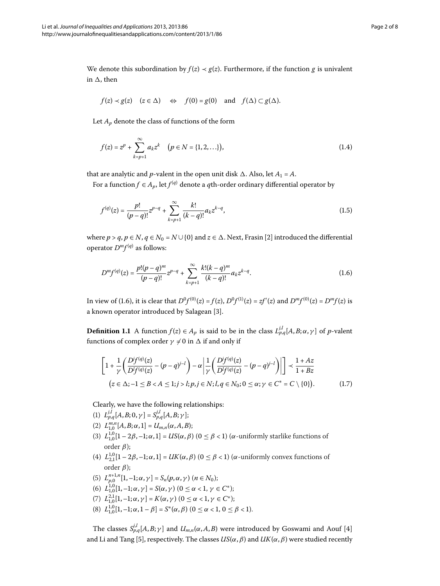We denote this subordination by  $f(z) \prec g(z)$ . Furthermore, if the function *g* is univalent in  $\Delta$ , then

$$
f(z) \prec g(z)
$$
  $(z \in \Delta)$   $\Leftrightarrow$   $f(0) = g(0)$  and  $f(\Delta) \subset g(\Delta)$ .

Let  $A_p$  denote the class of functions of the form

$$
f(z) = zp + \sum_{k=p+1}^{\infty} a_k z^k \quad (p \in N = \{1, 2, \ldots\}),
$$
 (1.4)

that are analytic and *p*-valent in the open unit disk  $\Delta$ . Also, let  $A_1 = A$ .

For a function  $f \in A_p$ , let  $f^{(q)}$  denote a *q*th-order ordinary differential operator by

<span id="page-1-0"></span>
$$
f^{(q)}(z) = \frac{p!}{(p-q)!} z^{p-q} + \sum_{k=p+1}^{\infty} \frac{k!}{(k-q)!} a_k z^{k-q},
$$
\n(1.5)

where  $p > q$ ,  $p \in N$ ,  $q \in N_0 = N \cup \{0\}$  and  $z \in \Delta$ . Next, Frasin [\[](#page-6-3)2] introduced the differential operator  $D^m f^{(q)}$  as follows:

$$
D^{m} f^{(q)}(z) = \frac{p! (p-q)^{m}}{(p-q)!} z^{p-q} + \sum_{k=p+1}^{\infty} \frac{k! (k-q)^{m}}{(k-q)!} a_{k} z^{k-q}.
$$
 (1.6)

<span id="page-1-1"></span>In view of (1[.](#page-1-0)6), it is clear that  $D^0f^{(0)}(z) = f(z)$ ,  $D^0f^{(1)}(z) = zf'(z)$  and  $D^mf^{(0)}(z) = D^mf(z)$  is a known operator introduced by Salagean [\[](#page-6-4)3].

**Definition 1.1** A function  $f(z) \in A_p$  is said to be in the class  $L_{p,q}^{j,l}[A, B; \alpha, \gamma]$  of *p*-valent functions of complex order  $\gamma \neq 0$  in  $\Delta$  if and only if

$$
\left[1 + \frac{1}{\gamma} \left(\frac{D^j f^{(q)}(z)}{D^j f^{(q)}(z)} - (p - q)^{j - l}\right) - \alpha \left|\frac{1}{\gamma} \left(\frac{D^j f^{(q)}(z)}{D^j f^{(q)}(z)} - (p - q)^{j - l}\right)\right|\right] \prec \frac{1 + Az}{1 + Bz}
$$
\n
$$
(z \in \Delta; -1 \le B < A \le 1; j > l; p, j \in N; l, q \in N_0; 0 \le \alpha; \gamma \in C^* = C \setminus \{0\}).
$$
\n(1.7)

Clearly, we have the following relationships:

- (1)  $L_{p,q}^{j,l}[A, B; 0, \gamma] = S_{p,q}^{j,l}[A, B; \gamma];$
- (2)  $L_{1,0}^{m,n}[A, B; \alpha, 1] = U_{m,n}(\alpha, A, B);$
- (3)  $L_{1,0}^{1,0}[1-2\beta,-1;\alpha,1] = US(\alpha,\beta)$  ( $0 \le \beta < 1$ ) ( $\alpha$ -uniformly starlike functions of order *β*);
- (4)  $L_{2,1}^{1,0}[1-2\beta,-1;\alpha,1] = UK(\alpha,\beta)$  ( $0 \le \beta < 1$ ) ( $\alpha$ -uniformly convex functions of order *β*);
- (5)  $L_{p,0}^{n+1,n}[1,-1;\alpha,\gamma] = S_n(p,\alpha,\gamma)$   $(n \in N_0);$
- (6)  $L_{1,0}^{1,0}[1,-1;\alpha,\gamma] = S(\alpha,\gamma)$  ( $0 \leq \alpha < 1, \gamma \in C^*$ );
- (7)  $L_{1,0}^{2,1}[1,-1;\alpha,\gamma] = K(\alpha,\gamma)$   $(0 \leq \alpha < 1, \gamma \in C^*);$
- (8)  $L_{1,0}^{1,0}[1,-1;\alpha,1-\beta] = S^*(\alpha,\beta)$  ( $0 \le \alpha < 1, 0 \le \beta < 1$ ).

The classes  $S^{j,l}_{p,q}[A,B;\gamma]$  and  $U_{m,n}(\alpha,A,B)$  were introduced by Goswami and Aouf [4] and Li and Tang [5], respectively. The classes  $US(\alpha, \beta)$  and  $UK(\alpha, \beta)$  were studied recently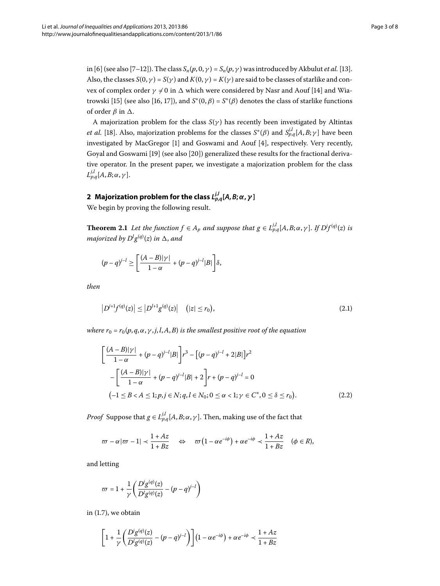in [6] (see also [7[–](#page-6-8)12[\]](#page-6-10)). The class  $S_n(p, 0, \gamma) = S_n(p, \gamma)$  was introduced by Akbulut *et al.* [13]. Also, the classes  $S(0, \gamma) = S(\gamma)$  and  $K(0, \gamma) = K(\gamma)$  are said to be classes of starlike and convex of complex order  $\gamma \neq 0$  in  $\Delta$  which were considered by Nasr and Aouf [14[\]](#page-6-11) and Wia-trowski [15[\]](#page-6-12) (see also [16, 17]), and  $S*(0, \beta) = S*(\beta)$  denotes the class of starlike functions of order  $\beta$  in  $\Delta$ .

A majorization problem for the class *S*(*γ* ) has recently been investigated by Altintas *et al.* [\[](#page-6-15)18]. Also, majorization problems for the classes  $S^*(\beta)$  and  $S_{p,q}^{j,l}[A,B;\gamma]$  have been investigated by MacGregor [\[](#page-6-5)1] and Goswami and Aouf [4], respectively. Very recently, Goyal and Goswami [19[\]](#page-7-0) (see also [20]) generalized these results for the fractional derivative operator. In the present paper, we investigate a majorization problem for the class  $L^{j,l}_{p,q}[A,B;\alpha,\gamma].$ 

# <span id="page-2-2"></span> $\boldsymbol{2}$  Majorization problem for the class  $L^{j,l}_{p,q}[A,B;\alpha,\gamma]$

We begin by proving the following result.

**Theorem 2.1** Let the function  $f \in A_p$  and suppose that  $g \in L_{p,q}^{j,l}[A, B; \alpha, \gamma]$ . If  $D^j f^{(q)}(z)$  is *majorized by*  $D^{l}g^{(q)}(z)$  *in*  $\Delta$ *, and* 

<span id="page-2-1"></span>
$$
(p-q)^{j-l} \ge \left[\frac{(A-B)|\gamma|}{1-\alpha} + (p-q)^{j-l} |B|\right] \delta,
$$

<span id="page-2-0"></span>*then*

$$
\left|D^{j+1}f^{(q)}(z)\right| \leq \left|D^{l+1}g^{(q)}(z)\right| \quad (|z| \leq r_0),\tag{2.1}
$$

*where*  $r_0 = r_0(p, q, \alpha, \gamma, j, l, A, B)$  *is the smallest positive root of the equation* 

$$
\left[\frac{(A-B)|\gamma|}{1-\alpha} + (p-q)^{j-l} |B|\right] r^3 - \left[(p-q)^{j-l} + 2|B|\right] r^2
$$
  
 
$$
-\left[\frac{(A-B)|\gamma|}{1-\alpha} + (p-q)^{j-l} |B| + 2\right] r + (p-q)^{j-l} = 0
$$
  
 
$$
(-1 \le B < A \le 1; p, j \in N; q, l \in N_0; 0 \le \alpha < 1; \gamma \in C^*, 0 \le \delta \le r_0).
$$
 (2.2)

*Proof* Suppose that  $g \in L_{p,q}^{j,l}[A,B;\alpha,\gamma]$ . Then, making use of the fact that

$$
\varpi - \alpha |\varpi - 1| < \frac{1 + Az}{1 + Bz} \quad \Leftrightarrow \quad \varpi \left( 1 - \alpha e^{-i\phi} \right) + \alpha e^{-i\phi} < \frac{1 + Az}{1 + Bz} \quad (\phi \in R),
$$

and letting

$$
\varpi = 1 + \frac{1}{\gamma} \left( \frac{D' g^{(q)}(z)}{D' g^{(q)}(z)} - (p - q)^{j - l} \right)
$$

in  $(1.7)$ , we obtain

$$
\Bigg[1+\frac{1}{\gamma}\Bigg(\frac{D'g^{(q)}(z)}{D'g^{(q)}(z)}-(p-q)^{j-l}\Bigg)\Bigg]\Big(1-\alpha e^{-i\phi}\Big)+\alpha e^{-i\phi}\prec\frac{1+Az}{1+Bz}
$$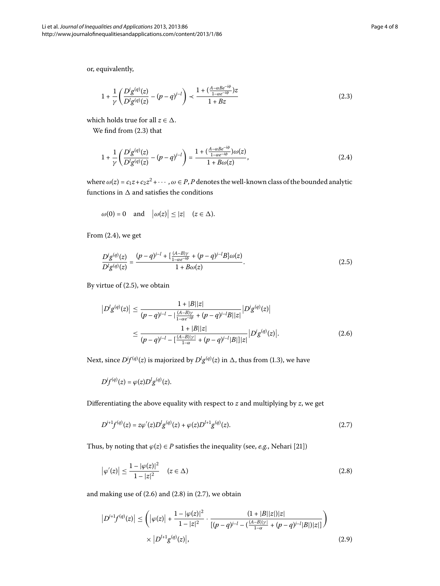or, equivalently,

<span id="page-3-1"></span><span id="page-3-0"></span>
$$
1 + \frac{1}{\gamma} \left( \frac{D'g^{(q)}(z)}{D'g^{(q)}(z)} - (p - q)^{j - l} \right) \prec \frac{1 + (\frac{A - \alpha B e^{-i\phi}}{1 - \alpha e^{-i\phi}})z}{1 + Bz} \tag{2.3}
$$

which holds true for all  $z \in \Delta$ .

We find from  $(2.3)$  that

$$
1 + \frac{1}{\gamma} \left( \frac{D' g^{(q)}(z)}{D' g^{(q)}(z)} - (p - q)^{j - l} \right) = \frac{1 + \left( \frac{A - \alpha B e^{-i\phi}}{1 - \alpha e^{-i\phi}} \right) \omega(z)}{1 + B \omega(z)},\tag{2.4}
$$

where  $\omega(z) = c_1 z + c_2 z^2 + \cdots$ ,  $\omega \in P$ , *P* denotes the well-known class of the bounded analytic functions in  $\Delta$  and satisfies the conditions

<span id="page-3-2"></span>
$$
\omega(0) = 0
$$
 and  $|\omega(z)| \le |z|$   $(z \in \Delta)$ .

<span id="page-3-3"></span>From  $(2.4)$ , we get

$$
\frac{D'g^{(q)}(z)}{D'g^{(q)}(z)} = \frac{(p-q)^{j-l} + \left[\frac{(A-B)\gamma}{1-\alpha e^{-i\phi}} + (p-q)^{j-l}B\right]\omega(z)}{1 + B\omega(z)}.
$$
\n(2.5)

By virtue of  $(2.5)$ , we obtain

$$
|D^{l}g^{(q)}(z)| \le \frac{1+|B||z|}{(p-q)^{j-l}-|\frac{(A-B)\gamma}{1-\alpha e^{-i\phi}}+(p-q)^{j-l}B||z|}|D^{j}g^{(q)}(z)|
$$
  

$$
\le \frac{1+|B||z|}{(p-q)^{j-l}-|\frac{(A-B)|\gamma|}{1-\alpha}+(p-q)^{j-l}|B|||z|}|D^{j}g^{(q)}(z)|.
$$
 (2.6)

Next, since  $D^{\prime}f^{(q)}(z)$  is majorized by  $D^{\prime}g^{(q)}(z)$  in  $\Delta$ , thus from (1.3), we have

<span id="page-3-5"></span>
$$
D^{\dagger}f^{(q)}(z)=\varphi(z)D^{\dagger}g^{(q)}(z).
$$

Differentiating the above equality with respect to *z* and multiplying by *z*, we get

<span id="page-3-4"></span>
$$
D^{j+1}f^{(q)}(z) = z\varphi'(z)D^j g^{(q)}(z) + \varphi(z)D^{l+1}g^{(q)}(z).
$$
\n(2.7)

Thus, by noting that  $\varphi(z) \in P$  satisfies the inequality (see, *e.g.*, Nehari [21[\]](#page-7-1))

$$
\left|\varphi'(z)\right| \le \frac{1 - |\varphi(z)|^2}{1 - |z|^2} \quad (z \in \Delta)
$$
\n(2.8)

and making use of  $(2.6)$  $(2.6)$  $(2.6)$  and  $(2.8)$  in  $(2.7)$ , we obtain

$$
|D^{j+1}f^{(q)}(z)| \le (|\varphi(z)| + \frac{1 - |\varphi(z)|^2}{1 - |z|^2} \cdot \frac{(1 + |B||z|)|z|}{[(p-q)^{j-l} - (\frac{(A-B)|y|}{1-\alpha} + (p-q)^{j-l}|B|)|z|]}\bigg) \times |D^{l+1}g^{(q)}(z)|, \tag{2.9}
$$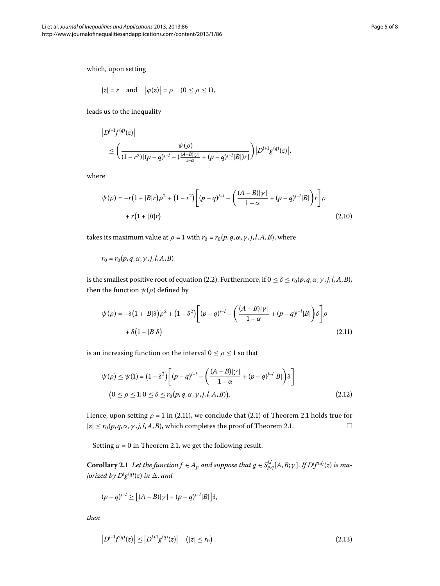$$
|z| = r
$$
 and  $|\varphi(z)| = \rho$   $(0 \le \rho \le 1)$ ,

leads us to the inequality

$$
|D^{j+1}f^{(q)}(z)|
$$
  
\n
$$
\leq \left(\frac{\psi(\rho)}{(1-r^2)[(p-q)^{j-l}-(\frac{(A-B)|\gamma|}{1-\alpha}+(p-q)^{j-l}|B|)r]}\right)|D^{l+1}g^{(q)}(z)|,
$$

where

 $\overline{\phantom{a}}$ 

$$
\psi(\rho) = -r(1+|B|r)\rho^2 + (1-r^2)\left[ (p-q)^{j-l} - \left( \frac{(A-B)|\gamma|}{1-\alpha} + (p-q)^{j-l}|B| \right) r \right] \rho
$$
  
+  $r(1+|B|r)$  (2.10)

<span id="page-4-0"></span>takes its maximum value at  $\rho = 1$  with  $r_0 = r_0(p, q, \alpha, \gamma, j, l, A, B)$ , where

$$
r_0 = r_0(p, q, \alpha, \gamma, j, l, A, B)
$$

is the smallest positive root of equation (2[.](#page-2-0)2). Furthermore, if  $0 \le \delta \le r_0(p, q, \alpha, \gamma, j, l, A, B)$ , then the function  $\psi(\rho)$  defined by

$$
\psi(\rho) = -\delta \left(1 + |B|\delta\right) \rho^2 + \left(1 - \delta^2\right) \left[ (p - q)^{j-l} - \left( \frac{(A - B)|\gamma|}{1 - \alpha} + (p - q)^{j-l} |B|\right) \delta \right] \rho
$$
  
+  $\delta \left(1 + |B|\delta\right)$  (2.11)

is an increasing function on the interval  $0 \le \rho \le 1$  so that

$$
\psi(\rho) \le \psi(1) = (1 - \delta^2) \bigg[ (p - q)^{j-l} - \left( \frac{(A - B)|\gamma|}{1 - \alpha} + (p - q)^{j-l} |B| \right) \delta \bigg] \n(0 \le \rho \le 1; 0 \le \delta \le r_0(p, q, \alpha, \gamma, j, l, A, B)).
$$
\n(2.12)

<span id="page-4-1"></span>Hence, upon setting  $\rho = 1$  in (2[.](#page-2-2)11), we conclude that (2.1) of Theorem 2.1 holds true for  $|z| \le r_0(p, q, \alpha, \gamma, j, l, A, B)$ , which completes the proof of Theorem 2.1.

Setting  $\alpha$  = 0 in Theorem 2[.](#page-2-2)1, we get the following result.

**Corollary 2.1** Let the function  $f \in A_p$  and suppose that  $g \in S_{p,q}^{j,l}[A,B;\gamma]$ . If  $Df^{(q)}(z)$  is ma*jorized by*  $D^l g^{(q)}(z)$  *in*  $\Delta$ *, and* 

$$
(p-q)^{j-l} \geq \left[ (A-B)|\gamma| + (p-q)^{j-l} |B| \right] \delta,
$$

*then*

$$
\left|D^{j+1}f^{(q)}(z)\right| \leq \left|D^{l+1}g^{(q)}(z)\right| \quad (|z| \leq r_0),\tag{2.13}
$$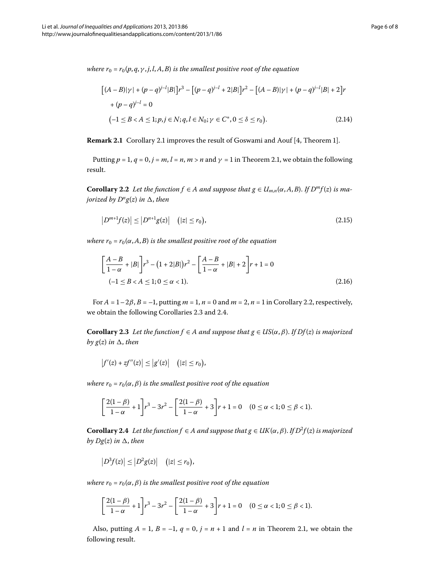*where*  $r_0 = r_0(p, q, \gamma, j, l, A, B)$  *is the smallest positive root of the equation* 

$$
[(A - B)|\gamma| + (p - q)^{j-l} |B|]r^3 - [(p - q)^{j-l} + 2|B|]r^2 - [(A - B)|\gamma| + (p - q)^{j-l} |B| + 2]r
$$
  
+ (p - q)^{j-l} = 0  
(-1 \le B < A \le 1; p, j \in N; q, l \in N\_0; \gamma \in C^\*, 0 \le \delta \le r\_0). (2.14)

<span id="page-5-0"></span>**Remark 2[.](#page-4-1)1** Corollary 2.1 improves the result of Goswami and Aouf [4, Theorem 1].

Putting  $p = 1$ ,  $q = 0$ ,  $j = m$ ,  $l = n$ ,  $m > n$  and  $\gamma = 1$  in Theorem 2.1, we obtain the following result.

**Corollary 2.2** Let the function  $f \in A$  and suppose that  $g \in U_{m,n}(\alpha, A, B)$ . If  $D^m f(z)$  is ma*jorized by*  $D^n g(z)$  *in*  $\Delta$ *, then* 

$$
\left|D^{m+1}f(z)\right| \le \left|D^{n+1}g(z)\right| \quad (|z| \le r_0),\tag{2.15}
$$

*where*  $r_0 = r_0(\alpha, A, B)$  *is the smallest positive root of the equation* 

<span id="page-5-1"></span>
$$
\left[\frac{A-B}{1-\alpha}+|B|\right]r^3 - (1+2|B|)r^2 - \left[\frac{A-B}{1-\alpha}+|B|+2\right]r+1 = 0
$$
  
(-1 \le B < A \le 1; 0 \le \alpha < 1). (2.16)

For  $A = 1-2\beta$ ,  $B = -1$ , putting  $m = 1$ ,  $n = 0$  and  $m = 2$ ,  $n = 1$  in Corollary 2[.](#page-5-0)2, respectively, we obtain the following Corollaries 2[.](#page-5-1)3 and 2.4.

**Corollary 2.3** Let the function  $f$  ∈ *A and suppose that*  $g$  ∈ *US*( $\alpha$ *,*  $\beta$ *). If Df*( $z$ ) *is majorized by*  $g(z)$  *in*  $\Delta$ *, then* 

$$
\big|f'(z)+zf''(z)\big|\leq\big|g'(z)\big|\quad\big(|z|\leq r_0\big),
$$

<span id="page-5-2"></span>*where*  $r_0 = r_0(\alpha, \beta)$  *is the smallest positive root of the equation* 

$$
\left[\frac{2(1-\beta)}{1-\alpha}+1\right] r^3-3r^2-\left[\frac{2(1-\beta)}{1-\alpha}+3\right] r+1=0 \quad (0 \le \alpha < 1; 0 \le \beta < 1).
$$

**Corollary 2.4** Let the function  $f \in A$  and suppose that  $g \in UK(\alpha, \beta)$ . If  $D^2f(z)$  is majorized  $by$   $Dg(z)$  *in*  $\Delta$ *, then* 

$$
\left|D^3f(z)\right|\leq\left|D^2g(z)\right|\quad\big(|z|\leq r_0\big),
$$

*where*  $r_0 = r_0(\alpha, \beta)$  *is the smallest positive root of the equation* 

$$
\left[\frac{2(1-\beta)}{1-\alpha}+1\right]r^3-3r^2-\left[\frac{2(1-\beta)}{1-\alpha}+3\right]r+1=0 \quad (0 \le \alpha < 1; 0 \le \beta < 1).
$$

Also, putting  $A = 1$ ,  $B = -1$ ,  $q = 0$ ,  $j = n + 1$  and  $l = n$  in Theorem 2.1, we obtain the following result.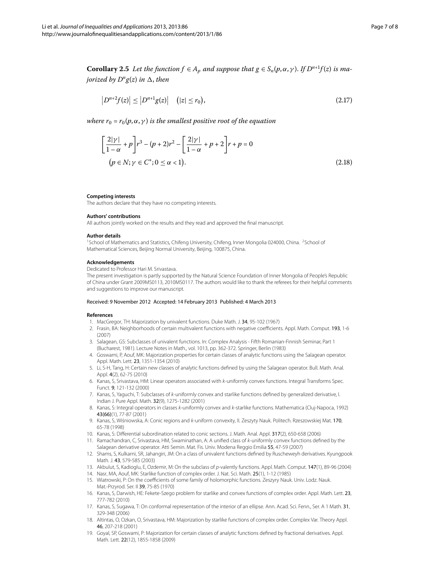**Corollary 2.5** Let the function  $f \in A_p$  and suppose that  $g \in S_n(p, \alpha, \gamma)$ . If  $D^{n+1}f(z)$  is ma*jorized by*  $D^n g(z)$  *in*  $\Delta$ *, then* 

$$
\left|D^{n+2}f(z)\right| \le \left|D^{n+1}g(z)\right| \quad (|z| \le r_0),\tag{2.17}
$$

*where*  $r_0 = r_0(p, \alpha, \gamma)$  *is the smallest positive root of the equation* 

<span id="page-6-1"></span>
$$
\left[\frac{2|\gamma|}{1-\alpha} + p\right] r^3 - (p+2)r^2 - \left[\frac{2|\gamma|}{1-\alpha} + p + 2\right] r + p = 0
$$
  
(p \in N; \gamma \in C^\*; 0 \le \alpha < 1). (2.18)

#### <span id="page-6-0"></span>**Competing interests**

The authors declare that they have no competing interests.

#### **Authors' contributions**

All authors jointly worked on the results and they read and approved the final manuscript.

#### **Author details**

<sup>1</sup>School of Mathematics and Statistics, Chifeng University, Chifeng, Inner Mongolia 024000, China. <sup>2</sup>School of Mathematical Sciences, Beijing Normal University, Beijing, 100875, China.

#### <span id="page-6-3"></span><span id="page-6-2"></span>**Acknowledgements**

Dedicated to Professor Hari M. Srivastava.

<span id="page-6-5"></span><span id="page-6-4"></span>The present investigation is partly supported by the Natural Science Foundation of Inner Mongolia of People's Republic of China under Grant 2009MS0113, 2010MS0117. The authors would like to thank the referees for their helpful comments and suggestions to improve our manuscript.

#### <span id="page-6-6"></span>Received: 9 November 2012 Accepted: 14 February 2013 Published: 4 March 2013

#### <span id="page-6-8"></span><span id="page-6-7"></span>**References**

- 1. MacGregor, TH: Majorization by univalent functions. Duke Math. J. 34, 95-102 (1967)
- 2. Frasin, BA: Neighborhoods of certain multivalent functions with negative coefficients. Appl. Math. Comput. 193, 1-6 (2007)
- 3. Salagean, GS: Subclasses of univalent functions. In: Complex Analysis Fifth Romanian-Finnish Seminar, Part 1 (Bucharest, 1981). Lecture Notes in Math., vol. 1013, pp. 362-372. Springer, Berlin (1983)
- 4. Goswami, P, Aouf, MK: Majorization properties for certain classes of analytic functions using the Salagean operator. Appl. Math. Lett. 23, 1351-1354 (2010)
- 5. Li, S-H, Tang, H: Certain new classes of analytic functions defined by using the Salagean operator. Bull. Math. Anal. Appl. 4(2), 62-75 (2010)
- 6. Kanas, S, Srivastava, HM: Linear operators associated with k-uniformly convex functions. Integral Transforms Spec. Funct. 9, 121-132 (2000)
- <span id="page-6-10"></span><span id="page-6-9"></span>7. Kanas, S, Yaguchi, T: Subclasses of k-uniformly convex and starlike functions defined by generalized derivative, I. Indian J. Pure Appl. Math. 32(9), 1275-1282 (2001)
- <span id="page-6-12"></span><span id="page-6-11"></span>8. Kanas, S: Integral operators in classes k-uniformly convex and k-starlike functions. Mathematica (Cluj-Napoca, 1992) 43(66)(1), 77-87 (2001)
- 9. Kanas, S, Wiśniowska, A: Conic regions and k-uniform convexity, II. Zeszyty Nauk. Politech. Rzeszowskiej Mat. 170, 65-78 (1998)
- <span id="page-6-14"></span><span id="page-6-13"></span>10. Kanas, S: Differential subordination related to conic sections. J. Math. Anal. Appl. 317(2), 650-658 (2006)
- 11. Ramachandran, C, Srivastava, HM, Swaminathan, A: A unified class of k-uniformly convex functions defined by the Salagean derivative operator. Atti Semin. Mat. Fis. Univ. Modena Reggio Emilia 55, 47-59 (2007)
- <span id="page-6-15"></span>12. Shams, S, Kulkarni, SR, Jahangiri, JM: On a class of univalent functions defined by Ruscheweyh derivatives. Kyungpook Math. J. 43, 579-585 (2003)
- <span id="page-6-16"></span>13. Akbulut, S, Kadioglu, E, Ozdemir, M: On the subclass of p-valently functions. Appl. Math. Comput. 147(1), 89-96 (2004) 14. Nasr, MA, Aouf, MK: Starlike function of complex order. J. Nat. Sci. Math. 25(1), 1-12 (1985)
- 15. Wiatrowski, P: On the coefficients of some family of holomorphic functions. Zeszyry Nauk. Univ. Lodz. Nauk. Mat.-Przyrod. Ser. II 39, 75-85 (1970)
- 16. Kanas, S, Darwish, HE: Fekete-Szego problem for starlike and convex functions of complex order. Appl. Math. Lett. 23, 777-782 (2010)
- 17. Kanas, S, Sugawa, T: On conformal representation of the interior of an ellipse. Ann. Acad. Sci. Fenn., Ser. A 1 Math. 31, 329-348 (2006)
- 18. Altintas, O, Ozkan, O, Srivastava, HM: Majorization by starlike functions of complex order. Complex Var. Theory Appl. 46, 207-218 (2001)
- 19. Goyal, SP, Goswami, P: Majorization for certain classes of analytic functions defined by fractional derivatives. Appl. Math. Lett. 22(12), 1855-1858 (2009)